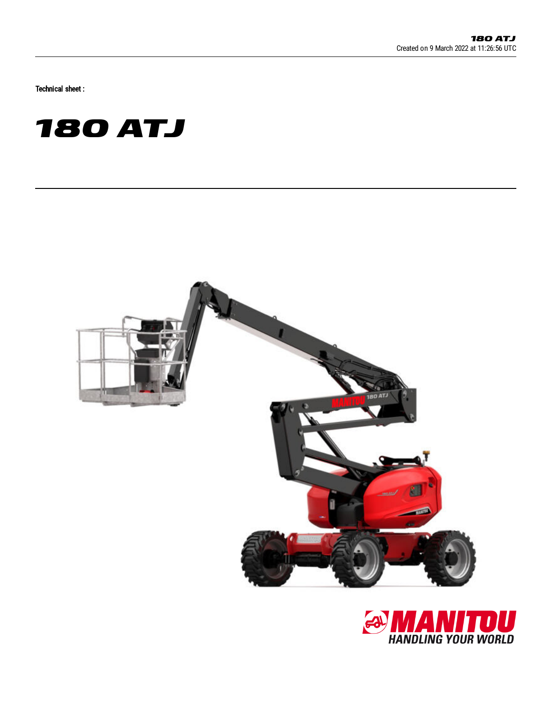Technical sheet :





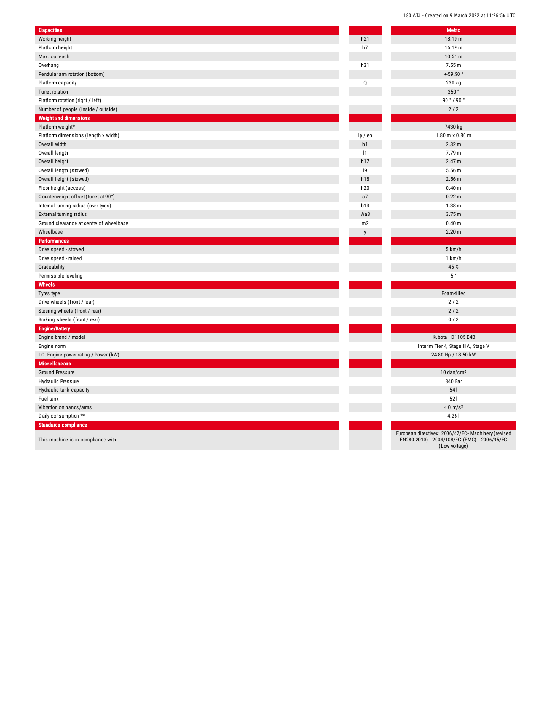| <b>Capacities</b>                       |                | <b>Metric</b>                                                                                                        |
|-----------------------------------------|----------------|----------------------------------------------------------------------------------------------------------------------|
| Working height                          | h21            | 18.19 m                                                                                                              |
| Platform height                         | h7             | 16.19 m                                                                                                              |
| Max. outreach                           |                | 10.51 m                                                                                                              |
| Overhang                                | h31            | 7.55 m                                                                                                               |
| Pendular arm rotation (bottom)          |                | $+59.50$ °                                                                                                           |
| Platform capacity                       | Q              | 230 kg                                                                                                               |
| Turret rotation                         |                | 350°                                                                                                                 |
| Platform rotation (right / left)        |                | 90°/90°                                                                                                              |
| Number of people (inside / outside)     |                | 2/2                                                                                                                  |
| <b>Weight and dimensions</b>            |                |                                                                                                                      |
| Platform weight*                        |                | 7430 kg                                                                                                              |
| Platform dimensions (length x width)    | lp / ep        | $1.80 \text{ m} \times 0.80 \text{ m}$                                                                               |
| Overall width                           | b <sub>1</sub> | 2.32 m                                                                                                               |
| Overall length                          | 1              | 7.79 m                                                                                                               |
| Overall height                          | h17            | 2.47 m                                                                                                               |
| Overall length (stowed)                 | 9              | 5.56 m                                                                                                               |
| Overall height (stowed)                 | h18            | $2.56$ m                                                                                                             |
| Floor height (access)                   | h20            | 0.40 m                                                                                                               |
| Counterweight offset (turret at 90°)    | a7             | 0.22 <sub>m</sub>                                                                                                    |
| Internal turning radius (over tyres)    | b13            | 1.38 <sub>m</sub>                                                                                                    |
| External turning radius                 | Wa3            | 3.75 m                                                                                                               |
| Ground clearance at centre of wheelbase | m <sub>2</sub> | 0.40 m                                                                                                               |
| Wheelbase                               | y              | 2.20 m                                                                                                               |
| <b>Performances</b>                     |                |                                                                                                                      |
| Drive speed - stowed                    |                | 5 km/h                                                                                                               |
| Drive speed - raised                    |                | 1 km/h                                                                                                               |
| Gradeability                            |                | 45 %                                                                                                                 |
| Permissible leveling                    |                | $5~^\circ$                                                                                                           |
| Wheels                                  |                |                                                                                                                      |
| Tyres type                              |                | Foam-filled                                                                                                          |
| Drive wheels (front / rear)             |                | 2/2                                                                                                                  |
| Steering wheels (front / rear)          |                | 2/2                                                                                                                  |
| Braking wheels (front / rear)           |                | 0/2                                                                                                                  |
| <b>Engine/Battery</b>                   |                |                                                                                                                      |
| Engine brand / model                    |                | Kubota - D1105-E4B                                                                                                   |
| Engine norm                             |                | Interim Tier 4, Stage IIIA, Stage V                                                                                  |
| I.C. Engine power rating / Power (kW)   |                | 24.80 Hp / 18.50 kW                                                                                                  |
| <b>Miscellaneous</b>                    |                |                                                                                                                      |
| <b>Ground Pressure</b>                  |                | 10 dan/cm2                                                                                                           |
| <b>Hydraulic Pressure</b>               |                | 340 Bar                                                                                                              |
| Hydraulic tank capacity                 |                | 54                                                                                                                   |
| Fuel tank                               |                | 521                                                                                                                  |
| Vibration on hands/arms                 |                | $< 0$ m/s <sup>2</sup>                                                                                               |
| Daily consumption **                    |                | 4.26                                                                                                                 |
| <b>Standards compliance</b>             |                |                                                                                                                      |
| This machine is in compliance with:     |                | European directives: 2006/42/EC- Machinery (revised<br>EN280:2013) - 2004/108/EC (EMC) - 2006/95/EC<br>(Low voltage) |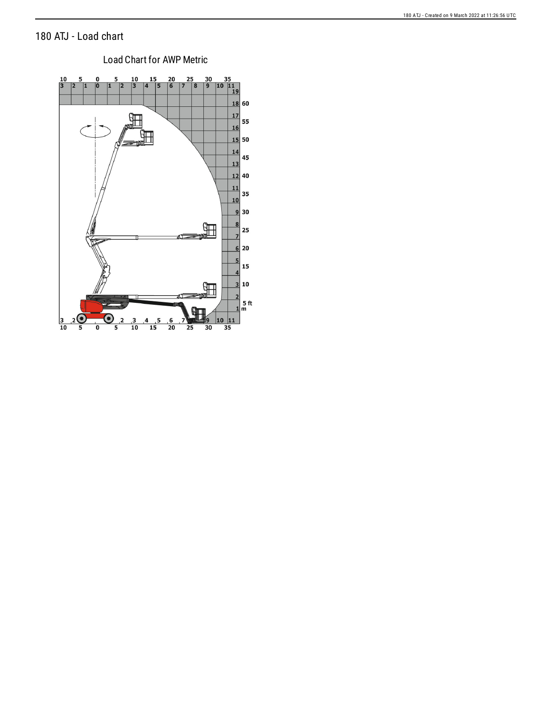## 180 ATJ - Load chart



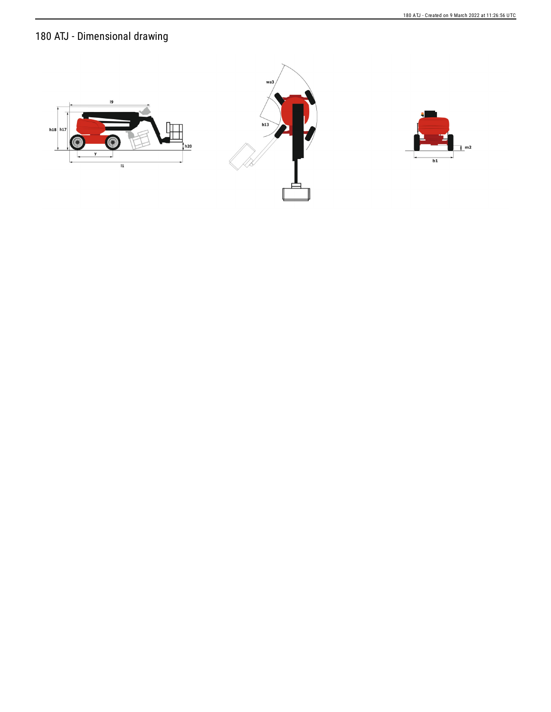180 ATJ - Dimensional drawing





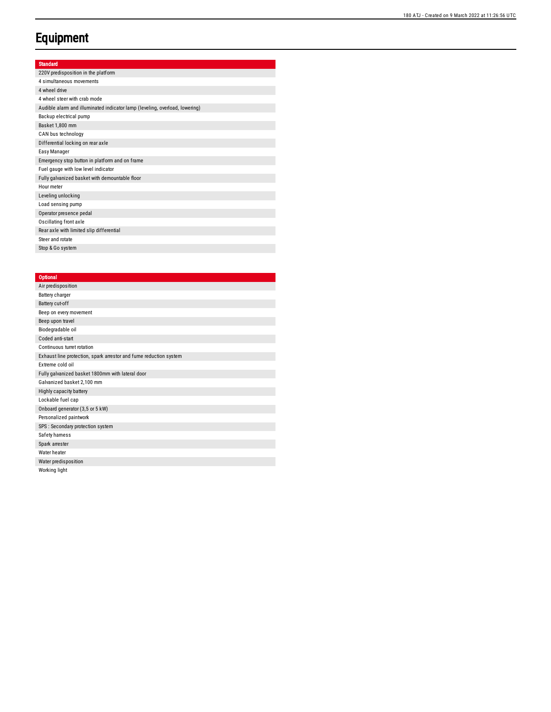## **Equipment**

## Standard

| 220V predisposition in the platform                                         |
|-----------------------------------------------------------------------------|
| 4 simultaneous movements                                                    |
| 4 wheel drive                                                               |
| 4 wheel steer with crab mode                                                |
| Audible alarm and illuminated indicator lamp (leveling, overload, lowering) |
| Backup electrical pump                                                      |
| Basket 1,800 mm                                                             |
| CAN bus technology                                                          |
| Differential locking on rear axle                                           |
| Easy Manager                                                                |
| Emergency stop button in platform and on frame                              |
| Fuel gauge with low level indicator                                         |
| Fully galvanized basket with demountable floor                              |
| Hour meter                                                                  |
| Leveling unlocking                                                          |
| Load sensing pump                                                           |
| Operator presence pedal                                                     |
| Oscillating front axle                                                      |
| Rear axle with limited slip differential                                    |
| Steer and rotate                                                            |
| Stop & Go system                                                            |

## **Optional**

| Air predisposition                                                |
|-------------------------------------------------------------------|
| Battery charger                                                   |
| Battery cut-off                                                   |
| Beep on every movement                                            |
| Beep upon travel                                                  |
| Biodegradable oil                                                 |
| Coded anti-start                                                  |
| Continuous turret rotation                                        |
| Exhaust line protection, spark arrestor and fume reduction system |
| Extreme cold oil                                                  |
| Fully galvanized basket 1800mm with lateral door                  |
| Galvanized basket 2,100 mm                                        |
| Highly capacity battery                                           |
| Lockable fuel cap                                                 |
| Onboard generator (3,5 or 5 kW)                                   |
| Personalized paintwork                                            |
| SPS : Secondary protection system                                 |
| Safety hamess                                                     |
| Spark arrester                                                    |
| Water heater                                                      |
| Water predisposition                                              |

Working light